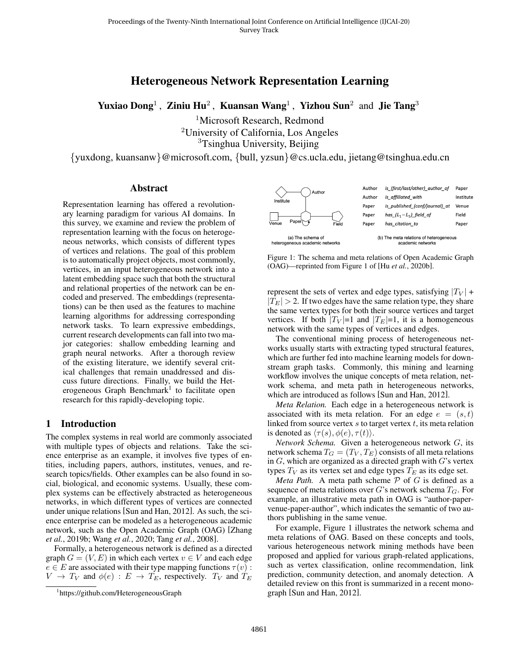# Heterogeneous Network Representation Learning

<span id="page-0-1"></span>Yuxiao Dong<sup>1</sup>, Ziniu Hu<sup>2</sup>, Kuansan Wang<sup>1</sup>, Yizhou Sun<sup>2</sup> and Jie Tang<sup>3</sup>

<sup>1</sup>Microsoft Research, Redmond <sup>2</sup>University of California, Los Angeles <sup>3</sup>Tsinghua University, Beijing

{yuxdong, kuansanw}@microsoft.com, {bull, yzsun}@cs.ucla.edu, jietang@tsinghua.edu.cn

#### Abstract

Representation learning has offered a revolutionary learning paradigm for various AI domains. In this survey, we examine and review the problem of representation learning with the focus on heterogeneous networks, which consists of different types of vertices and relations. The goal of this problem is to automatically project objects, most commonly, vertices, in an input heterogeneous network into a latent embedding space such that both the structural and relational properties of the network can be encoded and preserved. The embeddings (representations) can be then used as the features to machine learning algorithms for addressing corresponding network tasks. To learn expressive embeddings, current research developments can fall into two major categories: shallow embedding learning and graph neural networks. After a thorough review of the existing literature, we identify several critical challenges that remain unaddressed and discuss future directions. Finally, we build the Heterogeneous Graph Benchmark<sup>1</sup> to facilitate open research for this rapidly-developing topic.

#### 1 Introduction

The complex systems in real world are commonly associated with multiple types of objects and relations. Take the science enterprise as an example, it involves five types of entities, including papers, authors, institutes, venues, and research topics/fields. Other examples can be also found in social, biological, and economic systems. Usually, these complex systems can be effectively abstracted as heterogeneous networks, in which different types of vertices are connected under unique relations [\[Sun and Han, 2012\]](#page-6-0). As such, the science enterprise can be modeled as a heterogeneous academic network, such as the Open Academic Graph (OAG) [\[Zhang](#page-6-1) *et al.*[, 2019b;](#page-6-1) Wang *et al.*[, 2020;](#page-6-2) Tang *et al.*[, 2008\]](#page-6-3).

Formally, a heterogeneous network is defined as a directed graph  $G = (V, E)$  in which each vertex  $v \in V$  and each edge  $e \in E$  are associated with their type mapping functions  $\tau(v)$ :  $V \rightarrow T_V$  and  $\phi(e) : E \rightarrow T_E$ , respectively.  $T_V$  and  $T_E$ 

<span id="page-0-0"></span>

Figure 1: The schema and meta relations of Open Academic Graph (OAG)—reprinted from Figure 1 of [Hu *et al.*[, 2020b\]](#page-6-4).

represent the sets of vertex and edge types, satisfying  $|T_V|$  +  $|T_E| > 2$ . If two edges have the same relation type, they share the same vertex types for both their source vertices and target vertices. If both  $|T_V|=1$  and  $|T_E|=1$ , it is a homogeneous network with the same types of vertices and edges.

The conventional mining process of heterogeneous networks usually starts with extracting typed structural features, which are further fed into machine learning models for downstream graph tasks. Commonly, this mining and learning workflow involves the unique concepts of meta relation, network schema, and meta path in heterogeneous networks, which are introduced as follows [\[Sun and Han, 2012\]](#page-6-0).

*Meta Relation.* Each edge in a heterogeneous network is associated with its meta relation. For an edge  $e = (s, t)$ linked from source vertex  $s$  to target vertex  $t$ , its meta relation is denoted as  $\langle \tau(s), \phi(e), \tau(t) \rangle$ .

*Network Schema.* Given a heterogeneous network G, its network schema  $T_G = (T_V, T_E)$  consists of all meta relations in  $G$ , which are organized as a directed graph with  $G$ 's vertex types  $T_V$  as its vertex set and edge types  $T_E$  as its edge set.

*Meta Path.* A meta path scheme  $P$  of  $G$  is defined as a sequence of meta relations over G's network schema  $T_G$ . For example, an illustrative meta path in OAG is "author-papervenue-paper-author", which indicates the semantic of two authors publishing in the same venue.

For example, Figure [1](#page-0-0) illustrates the network schema and meta relations of OAG. Based on these concepts and tools, various heterogeneous network mining methods have been proposed and applied for various graph-related applications, such as vertex classification, online recommendation, link prediction, community detection, and anomaly detection. A detailed review on this front is summarized in a recent monograph [\[Sun and Han, 2012\]](#page-6-0).

<sup>1</sup> <https://github.com/HeterogeneousGraph>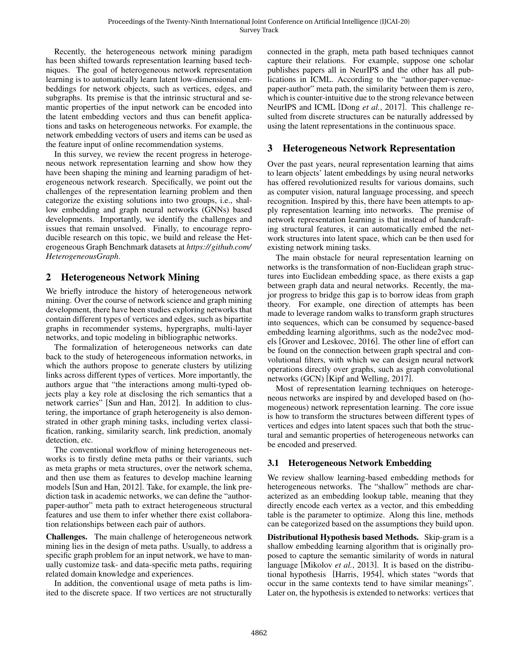Recently, the heterogeneous network mining paradigm has been shifted towards representation learning based techniques. The goal of heterogeneous network representation learning is to automatically learn latent low-dimensional embeddings for network objects, such as vertices, edges, and subgraphs. Its premise is that the intrinsic structural and semantic properties of the input network can be encoded into the latent embedding vectors and thus can benefit applications and tasks on heterogeneous networks. For example, the network embedding vectors of users and items can be used as the feature input of online recommendation systems.

In this survey, we review the recent progress in heterogeneous network representation learning and show how they have been shaping the mining and learning paradigm of heterogeneous network research. Specifically, we point out the challenges of the representation learning problem and then categorize the existing solutions into two groups, i.e., shallow embedding and graph neural networks (GNNs) based developments. Importantly, we identify the challenges and issues that remain unsolved. Finally, to encourage reproducible research on this topic, we build and release the Heterogeneous Graph Benchmark datasets at *[https:// github.com/](https://github.com/HeterogeneousGraph) [HeterogeneousGraph](https://github.com/HeterogeneousGraph)*.

# 2 Heterogeneous Network Mining

We briefly introduce the history of heterogeneous network mining. Over the course of network science and graph mining development, there have been studies exploring networks that contain different types of vertices and edges, such as bipartite graphs in recommender systems, hypergraphs, multi-layer networks, and topic modeling in bibliographic networks.

The formalization of heterogeneous networks can date back to the study of heterogeneous information networks, in which the authors propose to generate clusters by utilizing links across different types of vertices. More importantly, the authors argue that "the interactions among multi-typed objects play a key role at disclosing the rich semantics that a network carries" [\[Sun and Han, 2012\]](#page-6-0). In addition to clustering, the importance of graph heterogeneity is also demonstrated in other graph mining tasks, including vertex classification, ranking, similarity search, link prediction, anomaly detection, etc.

The conventional workflow of mining heterogeneous networks is to firstly define meta paths or their variants, such as meta graphs or meta structures, over the network schema, and then use them as features to develop machine learning models [\[Sun and Han, 2012\]](#page-6-0). Take, for example, the link prediction task in academic networks, we can define the "authorpaper-author" meta path to extract heterogeneous structural features and use them to infer whether there exist collaboration relationships between each pair of authors.

Challenges. The main challenge of heterogeneous network mining lies in the design of meta paths. Usually, to address a specific graph problem for an input network, we have to manually customize task- and data-specific meta paths, requiring related domain knowledge and experiences.

In addition, the conventional usage of meta paths is limited to the discrete space. If two vertices are not structurally connected in the graph, meta path based techniques cannot capture their relations. For example, suppose one scholar publishes papers all in NeurIPS and the other has all publications in ICML. According to the "author-paper-venuepaper-author" meta path, the similarity between them is zero, which is counter-intuitive due to the strong relevance between NeurIPS and ICML [Dong *et al.*[, 2017\]](#page-6-5). This challenge resulted from discrete structures can be naturally addressed by using the latent representations in the continuous space.

# 3 Heterogeneous Network Representation

Over the past years, neural representation learning that aims to learn objects' latent embeddings by using neural networks has offered revolutionized results for various domains, such as computer vision, natural language processing, and speech recognition. Inspired by this, there have been attempts to apply representation learning into networks. The premise of network representation learning is that instead of handcrafting structural features, it can automatically embed the network structures into latent space, which can be then used for existing network mining tasks.

The main obstacle for neural representation learning on networks is the transformation of non-Euclidean graph structures into Euclidean embedding space, as there exists a gap between graph data and neural networks. Recently, the major progress to bridge this gap is to borrow ideas from graph theory. For example, one direction of attempts has been made to leverage random walks to transform graph structures into sequences, which can be consumed by sequence-based embedding learning algorithms, such as the node2vec models [\[Grover and Leskovec, 2016\]](#page-6-6). The other line of effort can be found on the connection between graph spectral and convolutional filters, with which we can design neural network operations directly over graphs, such as graph convolutional networks (GCN) [\[Kipf and Welling, 2017\]](#page-6-7).

Most of representation learning techniques on heterogeneous networks are inspired by and developed based on (homogeneous) network representation learning. The core issue is how to transform the structures between different types of vertices and edges into latent spaces such that both the structural and semantic properties of heterogeneous networks can be encoded and preserved.

## 3.1 Heterogeneous Network Embedding

We review shallow learning-based embedding methods for heterogeneous networks. The "shallow" methods are characterized as an embedding lookup table, meaning that they directly encode each vertex as a vector, and this embedding table is the parameter to optimize. Along this line, methods can be categorized based on the assumptions they build upon.

Distributional Hypothesis based Methods. Skip-gram is a shallow embedding learning algorithm that is originally proposed to capture the semantic similarity of words in natural language [\[Mikolov](#page-6-8) *et al.*, 2013]. It is based on the distributional hypothesis [\[Harris, 1954\]](#page-6-9), which states "words that occur in the same contexts tend to have similar meanings". Later on, the hypothesis is extended to networks: vertices that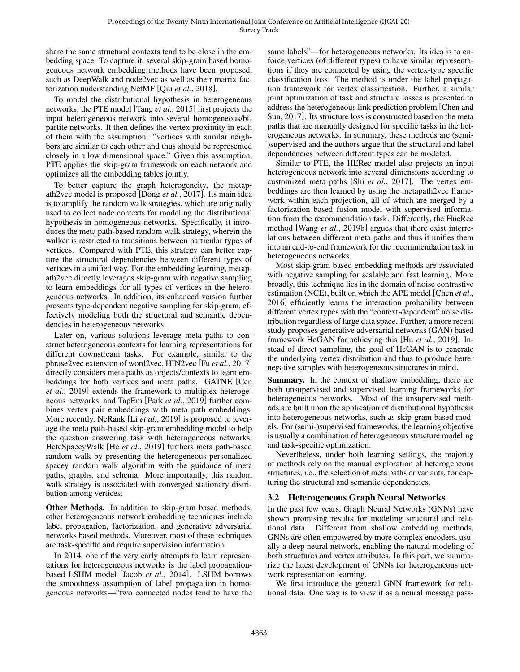share the same structural contexts tend to be close in the embedding space. To capture it, several skip-gram based homogeneous network embedding methods have been proposed, such as DeepWalk and node2vec as well as their matrix factorization understanding NetMF [Qiu *et al.*[, 2018\]](#page-6-10).

To model the distributional hypothesis in heterogeneous networks, the PTE model [Tang *et al.*[, 2015\]](#page-6-11) first projects the input heterogeneous network into several homogeneous/bipartite networks. It then defines the vertex proximity in each of them with the assumption: "vertices with similar neighbors are similar to each other and thus should be represented closely in a low dimensional space." Given this assumption, PTE applies the skip-gram framework on each network and optimizes all the embedding tables jointly.

To better capture the graph heterogeneity, the metapath2vec model is proposed [Dong *et al.*[, 2017\]](#page-6-5). Its main idea is to amplify the random walk strategies, which are originally used to collect node contexts for modeling the distributional hypothesis in homogeneous networks. Specifically, it introduces the meta path-based random walk strategy, wherein the walker is restricted to transitions between particular types of vertices. Compared with PTE, this strategy can better capture the structural dependencies between different types of vertices in a unified way. For the embedding learning, metapath2vec directly leverages skip-gram with negative sampling to learn embeddings for all types of vertices in the heterogeneous networks. In addition, its enhanced version further presents type-dependent negative sampling for skip-gram, effectively modeling both the structural and semantic dependencies in heterogeneous networks.

Later on, various solutions leverage meta paths to construct heterogeneous contexts for learning representations for different downstream tasks. For example, similar to the phrase2vec extension of word2vec, HIN2vec [Fu *et al.*[, 2017\]](#page-6-12) directly considers meta paths as objects/contexts to learn embeddings for both vertices and meta paths. GATNE [\[Cen](#page-6-13) *et al.*[, 2019\]](#page-6-13) extends the framework to multiplex heterogeneous networks, and TapEm [Park *et al.*[, 2019\]](#page-6-14) further combines vertex pair embeddings with meta path embeddings. More recently, NeRank [Li *et al.*[, 2019\]](#page-6-15) is proposed to leverage the meta path-based skip-gram embedding model to help the question answering task with heterogeneous networks. HeteSpaceyWalk [He *et al.*[, 2019\]](#page-6-16) furthers meta path-based random walk by presenting the heterogeneous personalized spacey random walk algorithm with the guidance of meta paths, graphs, and schema. More importantly, this random walk strategy is associated with converged stationary distribution among vertices.

Other Methods. In addition to skip-gram based methods, other heterogeneous network embedding techniques include label propagation, factorization, and generative adversarial networks based methods. Moreover, most of these techniques are task-specific and require supervision information.

In 2014, one of the very early attempts to learn representations for heterogeneous networks is the label propagationbased LSHM model [Jacob *et al.*[, 2014\]](#page-6-17). LSHM borrows the smoothness assumption of label propagation in homogeneous networks—"two connected nodes tend to have the same labels"—for heterogeneous networks. Its idea is to enforce vertices (of different types) to have similar representations if they are connected by using the vertex-type specific classification loss. The method is under the label propagation framework for vertex classification. Further, a similar joint optimization of task and structure losses is presented to address the heterogeneous link prediction problem [\[Chen and](#page-6-18) [Sun, 2017\]](#page-6-18). Its structure loss is constructed based on the meta paths that are manually designed for specific tasks in the heterogeneous networks. In summary, these methods are (semi- )supervised and the authors argue that the structural and label dependencies between different types can be modeled.

Similar to PTE, the HERec model also projects an input heterogeneous network into several dimensions according to customized meta paths [Shi *et al.*[, 2017\]](#page-6-19). The vertex embeddings are then learned by using the metapath2vec framework within each projection, all of which are merged by a factorization based fusion model with supervised information from the recommendation task. Differently, the HueRec method [Wang *et al.*[, 2019b\]](#page-6-20) argues that there exist interrelations between different meta paths and thus it unifies them into an end-to-end framework for the recommendation task in heterogeneous networks.

Most skip-gram based embedding methods are associated with negative sampling for scalable and fast learning. More broadly, this technique lies in the domain of noise contrastive estimation (NCE), built on which the APE model [\[Chen](#page-6-21) *et al.*, [2016\]](#page-6-21) efficiently learns the interaction probability between different vertex types with the "context-dependent" noise distribution regardless of large data space. Further, a more recent study proposes generative adversarial networks (GAN) based framework HeGAN for achieving this [Hu *et al.*[, 2019\]](#page-6-22). Instead of direct sampling, the goal of HeGAN is to generate the underlying vertex distribution and thus to produce better negative samples with heterogeneous structures in mind.

Summary. In the context of shallow embedding, there are both unsupervised and supervised learning frameworks for heterogeneous networks. Most of the unsupervised methods are built upon the application of distributional hypothesis into heterogeneous networks, such as skip-gram based models. For (semi-)supervised frameworks, the learning objective is usually a combination of heterogeneous structure modeling and task-specific optimization.

Nevertheless, under both learning settings, the majority of methods rely on the manual exploration of heterogeneous structures, i.e., the selection of meta paths or variants, for capturing the structural and semantic dependencies.

## 3.2 Heterogeneous Graph Neural Networks

In the past few years, Graph Neural Networks (GNNs) have shown promising results for modeling structural and relational data. Different from shallow embedding methods, GNNs are often empowered by more complex encoders, usually a deep neural network, enabling the natural modeling of both structures and vertex attributes. In this part, we summarize the latest development of GNNs for heterogeneous network representation learning.

We first introduce the general GNN framework for relational data. One way is to view it as a neural message pass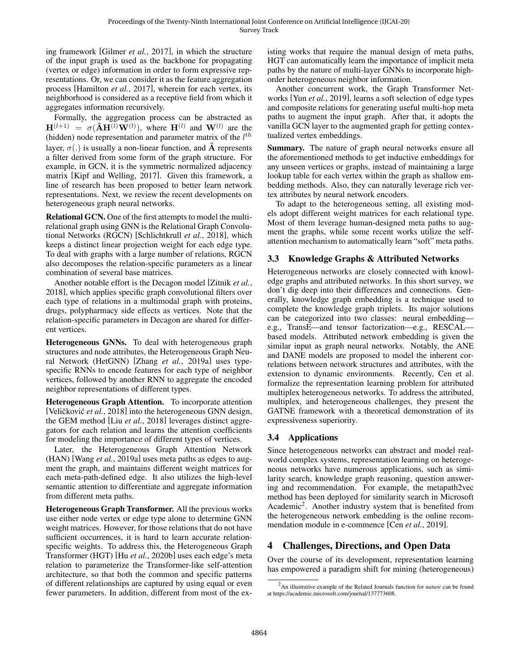ing framework [\[Gilmer](#page-6-23) *et al.*, 2017], in which the structure of the input graph is used as the backbone for propagating (vertex or edge) information in order to form expressive representations. Or, we can consider it as the feature aggregation process [\[Hamilton](#page-6-24) *et al.*, 2017], wherein for each vertex, its neighborhood is considered as a receptive field from which it aggregates information recursively.

Formally, the aggregation process can be abstracted as  $H^{(l+1)} = \sigma(\hat{A}H^{(l)}W^{(l)})$ , where  $H^{(l)}$  and  $W^{(l)}$  are the (hidden) node representation and parameter matrix of the  $l^{th}$ layer,  $\sigma(.)$  is usually a non-linear function, and  $\tilde{A}$  represents a filter derived from some form of the graph structure. For example, in GCN, it is the symmetric normalized adjacency matrix [\[Kipf and Welling, 2017\]](#page-6-7). Given this framework, a line of research has been proposed to better learn network representations. Next, we review the recent developments on heterogeneous graph neural networks.

Relational GCN. One of the first attempts to model the multirelational graph using GNN is the Relational Graph Convolutional Networks (RGCN) [\[Schlichtkrull](#page-6-25) *et al.*, 2018], which keeps a distinct linear projection weight for each edge type. To deal with graphs with a large number of relations, RGCN also decomposes the relation-specific parameters as a linear combination of several base matrices.

Another notable effort is the Decagon model [\[Zitnik](#page-6-26) *et al.*, [2018\]](#page-6-26), which applies specific graph convolutional filters over each type of relations in a multimodal graph with proteins, drugs, polypharmacy side effects as vertices. Note that the relation-specific parameters in Decagon are shared for different vertices.

Heterogeneous GNNs. To deal with heterogeneous graph structures and node attributes, the Heterogeneous Graph Neural Network (HetGNN) [Zhang *et al.*[, 2019a\]](#page-6-27) uses typespecific RNNs to encode features for each type of neighbor vertices, followed by another RNN to aggregate the encoded neighbor representations of different types.

Heterogeneous Graph Attention. To incorporate attention [Veličković *et al.*, 2018] into the heterogeneous GNN design, the GEM method [Liu *et al.*[, 2018\]](#page-6-29) leverages distinct aggregators for each relation and learns the attention coefficients for modeling the importance of different types of vertices.

Later, the Heterogeneous Graph Attention Network (HAN) [Wang *et al.*[, 2019a\]](#page-6-30) uses meta paths as edges to augment the graph, and maintains different weight matrices for each meta-path-defined edge. It also utilizes the high-level semantic attention to differentiate and aggregate information from different meta paths.

Heterogeneous Graph Transformer. All the previous works use either node vertex or edge type alone to determine GNN weight matrices. However, for those relations that do not have sufficient occurrences, it is hard to learn accurate relationspecific weights. To address this, the Heterogeneous Graph Transformer (HGT) [Hu *et al.*[, 2020b\]](#page-6-4) uses each edge's meta relation to parameterize the Transformer-like self-attention architecture, so that both the common and specific patterns of different relationships are captured by using equal or even fewer parameters. In addition, different from most of the existing works that require the manual design of meta paths, HGT can automatically learn the importance of implicit meta paths by the nature of multi-layer GNNs to incorporate highorder heterogeneous neighbor information.

Another concurrent work, the Graph Transformer Networks [Yun *et al.*[, 2019\]](#page-6-31), learns a soft selection of edge types and composite relations for generating useful multi-hop meta paths to augment the input graph. After that, it adopts the vanilla GCN layer to the augmented graph for getting contextualized vertex embeddings.

Summary. The nature of graph neural networks ensure all the aforementioned methods to get inductive embeddings for any unseen vertices or graphs, instead of maintaining a large lookup table for each vertex within the graph as shallow embedding methods. Also, they can naturally leverage rich vertex attributes by neural network encoders.

To adapt to the heterogeneous setting, all existing models adopt different weight matrices for each relational type. Most of them leverage human-designed meta paths to augment the graphs, while some recent works utilize the selfattention mechanism to automatically learn "soft" meta paths.

## 3.3 Knowledge Graphs & Attributed Networks

Heterogeneous networks are closely connected with knowledge graphs and attributed networks. In this short survey, we don't dig deep into their differences and connections. Generally, knowledge graph embedding is a technique used to complete the knowledge graph triplets. Its major solutions can be categorized into two classes: neural embedding e.g., TransE—and tensor factorization—e.g., RESCAL based models. Attributed network embedding is given the similar input as graph neural networks. Notably, the ANE and DANE models are proposed to model the inherent correlations between network structures and attributes, with the extension to dynamic environments. Recently, Cen et al. formalize the representation learning problem for attributed multiplex heterogeneous networks. To address the attributed, multiplex, and heterogeneous challenges, they present the GATNE framework with a theoretical demonstration of its expressiveness superiority.

## 3.4 Applications

Since heterogeneous networks can abstract and model realworld complex systems, representation learning on heterogeneous networks have numerous applications, such as similarity search, knowledge graph reasoning, question answering and recommendation. For example, the metapath2vec method has been deployed for similarity search in Microsoft Academic<sup>[2](#page-0-1)</sup>. Another industry system that is benefited from the heterogeneous network embedding is the online recommendation module in e-commence [Cen *et al.*[, 2019\]](#page-6-13).

# 4 Challenges, Directions, and Open Data

Over the course of its development, representation learning has empowered a paradigm shift for mining (heterogeneous)

<sup>2</sup> An illustrative example of the Related Journals function for *nature* can be found at [https://academic.microsoft.com/journal/137773608.](https://academic.microsoft.com/journal/137773608)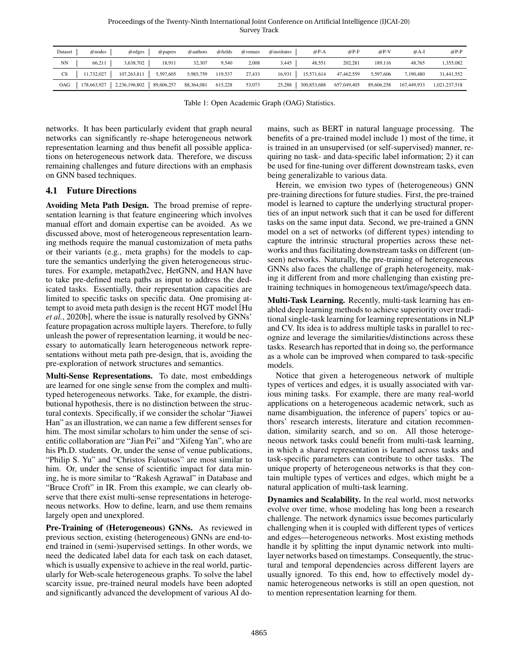Proceedings of the Twenty-Ninth International Joint Conference on Artificial Intelligence (IJCAI-20) Survey Track

<span id="page-4-0"></span>

| Dataset | #nodes     | $\#$ edges                  | $#$ papers | # authors  | #fields | $#$ venues | $\#$ institutes | $\#P-A$     | $#P-F$      | $#P-V$     | $#A-I$      | $#P-P$        |
|---------|------------|-----------------------------|------------|------------|---------|------------|-----------------|-------------|-------------|------------|-------------|---------------|
| NN      | 66,211     | 3,638,702                   | 18,911     | 32,307     | 9,540   | 2,008      | 3,445           | 48,551      | 202,281     | 189.116    | 48,765      | 1,355,082     |
| CS      | 11,732,027 | 107,263,811   5,597,605     |            | 5,985,759  | 119,537 | 27,433     | 16,931          | 15,571,614  | 47,462,559  | 5,597,606  | 7,190,480   | 31,441,552    |
| OAG     |            | 178,663,927   2,236,196,802 | 89,606,257 | 88,364,081 | 615,228 | 53,073     | 25,288          | 300,853,688 | 657,049,405 | 89,606,258 | 167,449,933 | 1,021,237,518 |

Table 1: Open Academic Graph (OAG) Statistics.

networks. It has been particularly evident that graph neural networks can significantly re-shape heterogeneous network representation learning and thus benefit all possible applications on heterogeneous network data. Therefore, we discuss remaining challenges and future directions with an emphasis on GNN based techniques.

### 4.1 Future Directions

Avoiding Meta Path Design. The broad premise of representation learning is that feature engineering which involves manual effort and domain expertise can be avoided. As we discussed above, most of heterogeneous representation learning methods require the manual customization of meta paths or their variants (e.g., meta graphs) for the models to capture the semantics underlying the given heterogeneous structures. For example, metapath2vec, HetGNN, and HAN have to take pre-defined meta paths as input to address the dedicated tasks. Essentially, their representation capacities are limited to specific tasks on specific data. One promising attempt to avoid meta path design is the recent HGT model [\[Hu](#page-6-4) *et al.*[, 2020b\]](#page-6-4), where the issue is naturally resolved by GNNs' feature propagation across multiple layers. Therefore, to fully unleash the power of representation learning, it would be necessary to automatically learn heterogeneous network representations without meta path pre-design, that is, avoiding the pre-exploration of network structures and semantics.

Multi-Sense Representations. To date, most embeddings are learned for one single sense from the complex and multityped heterogeneous networks. Take, for example, the distributional hypothesis, there is no distinction between the structural contexts. Specifically, if we consider the scholar "Jiawei Han" as an illustration, we can name a few different senses for him. The most similar scholars to him under the sense of scientific collaboration are "Jian Pei" and "Xifeng Yan", who are his Ph.D. students. Or, under the sense of venue publications, "Philip S. Yu" and "Christos Faloutsos" are most similar to him. Or, under the sense of scientific impact for data mining, he is more similar to "Rakesh Agrawal" in Database and "Bruce Croft" in IR. From this example, we can clearly observe that there exist multi-sense representations in heterogeneous networks. How to define, learn, and use them remains largely open and unexplored.

Pre-Training of (Heterogeneous) GNNs. As reviewed in previous section, existing (heterogeneous) GNNs are end-toend trained in (semi-)supervised settings. In other words, we need the dedicated label data for each task on each dataset, which is usually expensive to achieve in the real world, particularly for Web-scale heterogeneous graphs. To solve the label scarcity issue, pre-trained neural models have been adopted and significantly advanced the development of various AI domains, such as BERT in natural language processing. The benefits of a pre-trained model include 1) most of the time, it is trained in an unsupervised (or self-supervised) manner, requiring no task- and data-specific label information; 2) it can be used for fine-tuning over different downstream tasks, even being generalizable to various data.

Herein, we envision two types of (heterogeneous) GNN pre-training directions for future studies. First, the pre-trained model is learned to capture the underlying structural properties of an input network such that it can be used for different tasks on the same input data. Second, we pre-trained a GNN model on a set of networks (of different types) intending to capture the intrinsic structural properties across these networks and thus facilitating downstream tasks on different (unseen) networks. Naturally, the pre-training of heterogeneous GNNs also faces the challenge of graph heterogeneity, making it different from and more challenging than existing pretraining techniques in homogeneous text/image/speech data.

Multi-Task Learning. Recently, multi-task learning has enabled deep learning methods to achieve superiority over traditional single-task learning for learning representations in NLP and CV. Its idea is to address multiple tasks in parallel to recognize and leverage the similarities/distinctions across these tasks. Research has reported that in doing so, the performance as a whole can be improved when compared to task-specific models.

Notice that given a heterogeneous network of multiple types of vertices and edges, it is usually associated with various mining tasks. For example, there are many real-world applications on a heterogeneous academic network, such as name disambiguation, the inference of papers' topics or authors' research interests, literature and citation recommendation, similarity search, and so on. All those heterogeneous network tasks could benefit from multi-task learning, in which a shared representation is learned across tasks and task-specific parameters can contribute to other tasks. The unique property of heterogeneous networks is that they contain multiple types of vertices and edges, which might be a natural application of multi-task learning.

Dynamics and Scalability. In the real world, most networks evolve over time, whose modeling has long been a research challenge. The network dynamics issue becomes particularly challenging when it is coupled with different types of vertices and edges—heterogeneous networks. Most existing methods handle it by splitting the input dynamic network into multilayer networks based on timestamps. Consequently, the structural and temporal dependencies across different layers are usually ignored. To this end, how to effectively model dynamic heterogeneous networks is still an open question, not to mention representation learning for them.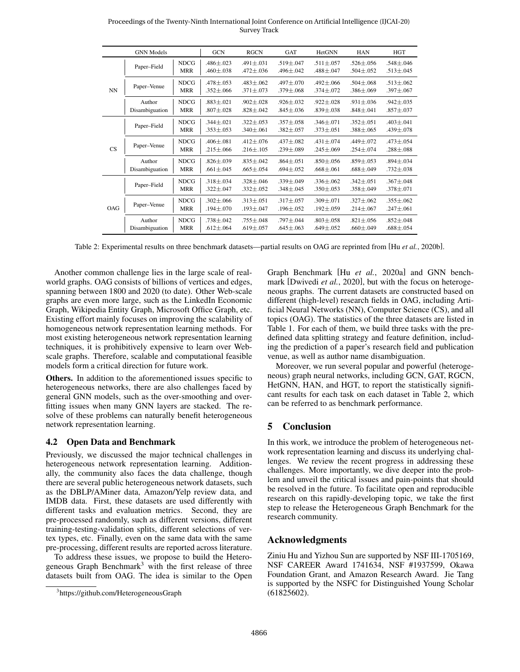<span id="page-5-0"></span>

|     | <b>GNN</b> Models        |                           | <b>GCN</b>                         | <b>RGCN</b>                        | <b>GAT</b>                         | HetGNN                             | <b>HAN</b>                         | <b>HGT</b>                         |
|-----|--------------------------|---------------------------|------------------------------------|------------------------------------|------------------------------------|------------------------------------|------------------------------------|------------------------------------|
| NN  | Paper-Field              | <b>NDCG</b><br><b>MRR</b> | $.486 \pm .023$<br>$.460 \pm .038$ | $.491 \pm .031$<br>$.472 \pm .036$ | $.519 \pm .047$<br>$.496 \pm .042$ | $.511 \pm .057$<br>$.488 \pm .047$ | $.526 \pm .056$<br>$.504 \pm .052$ | $.548 \pm .046$<br>$.513 \pm .045$ |
|     | Paper-Venue              | <b>NDCG</b><br><b>MRR</b> | $.478 \pm .053$<br>$.352 \pm .066$ | $.483 \pm .062$<br>$.371 \pm .073$ | $.497 + .070$<br>$.379 \pm .068$   | $.492 \pm .066$<br>$.374 \pm .072$ | $.504 \pm .068$<br>$.386 \pm .069$ | $.513 \pm .062$<br>$.397 \pm .067$ |
|     | Author<br>Disambiguation | <b>NDCG</b><br><b>MRR</b> | $.883 \pm .021$<br>$.807 \pm .028$ | $.902 + .028$<br>$.828 \pm .042$   | $.926 + .032$<br>$.845 \pm .036$   | $.922 + .028$<br>$.839 \pm .038$   | $.931 \pm .036$<br>$.848 \pm .041$ | $.942 \pm .035$<br>$.857 \pm .037$ |
|     | Paper-Field              | <b>NDCG</b><br><b>MRR</b> | $.344 \pm .021$<br>$.353 \pm .053$ | $.322 \pm .053$<br>$.340 \pm .061$ | $.357 + .058$<br>$.382 \pm .057$   | $.346 + .071$<br>$.373 \pm .051$   | $.352 \pm .051$<br>$.388 \pm .065$ | $.403 \pm .041$<br>$.439 \pm .078$ |
| CS  | Paper-Venue              | <b>NDCG</b><br><b>MRR</b> | $.406 \pm .081$<br>$.215 \pm .066$ | $.412 \pm .076$<br>$.216 \pm .105$ | $.437 \pm .082$<br>$.239 \pm .089$ | $.431 \pm .074$<br>$.245 \pm .069$ | .449±.072<br>$.254 \pm .074$       | $.473 \pm .054$<br>$.288 \pm .088$ |
|     | Author<br>Disambiguation | <b>NDCG</b><br><b>MRR</b> | $.826 \pm .039$<br>$.661 \pm .045$ | $.835 + .042$<br>$.665 \pm .054$   | $.864 \pm .051$<br>$.694 \pm .052$ | $.850 + .056$<br>$.668 \pm .061$   | $.859 \pm .053$<br>$.688 \pm .049$ | $.894 \pm .034$<br>$.732 \pm .038$ |
| OAG | Paper-Field              | <b>NDCG</b><br><b>MRR</b> | $.318 \pm .034$<br>$.322 \pm .047$ | $.328 + .046$<br>$.332 \pm .052$   | $.339 + .049$<br>$.348 \pm .045$   | $.336 \pm .062$<br>$.350 \pm .053$ | $.342 \pm .051$<br>$.358 \pm .049$ | $.367 \pm .048$<br>$.378 \pm .071$ |
|     | Paper-Venue              | <b>NDCG</b><br><b>MRR</b> | $.302 \pm .066$<br>$.194 \pm .070$ | $.313 + .051$<br>$.193 \pm .047$   | $.317 + .057$<br>$.196 \pm .052$   | $.309 + .071$<br>$.192 \pm .059$   | $.327 + .062$<br>$.214 \pm .067$   | $.355 \pm .062$<br>$.247 \pm .061$ |
|     | Author<br>Disambiguation | <b>NDCG</b><br><b>MRR</b> | $.738 \pm .042$<br>$.612 \pm .064$ | $.755 + .048$<br>$.619 \pm .057$   | $.797 + .044$<br>$.645 \pm .063$   | $.803 + .058$<br>$.649 \pm .052$   | $.821 \pm .056$<br>$.660 \pm .049$ | $.852 \pm .048$<br>$.688 \pm .054$ |

Proceedings of the Twenty-Ninth International Joint Conference on Artificial Intelligence (IJCAI-20) Survey Track

Table 2: Experimental results on three benchmark datasets—partial results on OAG are reprinted from [Hu *et al.*[, 2020b\]](#page-6-4).

Another common challenge lies in the large scale of realworld graphs. OAG consists of billions of vertices and edges, spanning between 1800 and 2020 (to date). Other Web-scale graphs are even more large, such as the LinkedIn Economic Graph, Wikipedia Entity Graph, Microsoft Office Graph, etc. Existing effort mainly focuses on improving the scalability of homogeneous network representation learning methods. For most existing heterogeneous network representation learning techniques, it is prohibitively expensive to learn over Webscale graphs. Therefore, scalable and computational feasible models form a critical direction for future work.

Others. In addition to the aforementioned issues specific to heterogeneous networks, there are also challenges faced by general GNN models, such as the over-smoothing and overfitting issues when many GNN layers are stacked. The resolve of these problems can naturally benefit heterogeneous network representation learning.

#### 4.2 Open Data and Benchmark

Previously, we discussed the major technical challenges in heterogeneous network representation learning. Additionally, the community also faces the data challenge, though there are several public heterogeneous network datasets, such as the DBLP/AMiner data, Amazon/Yelp review data, and IMDB data. First, these datasets are used differently with different tasks and evaluation metrics. Second, they are pre-processed randomly, such as different versions, different training-testing-validation splits, different selections of vertex types, etc. Finally, even on the same data with the same pre-processing, different results are reported across literature.

To address these issues, we propose to build the Hetero-geneous Graph Benchmark<sup>[3](#page-0-1)</sup> with the first release of three datasets built from OAG. The idea is similar to the Open Graph Benchmark [Hu *et al.*[, 2020a\]](#page-6-32) and GNN benchmark [\[Dwivedi](#page-6-33) *et al.*, 2020], but with the focus on heterogeneous graphs. The current datasets are constructed based on different (high-level) research fields in OAG, including Artificial Neural Networks (NN), Computer Science (CS), and all topics (OAG). The statistics of the three datasets are listed in Table [1.](#page-4-0) For each of them, we build three tasks with the predefined data splitting strategy and feature definition, including the prediction of a paper's research field and publication venue, as well as author name disambiguation.

Moreover, we run several popular and powerful (heterogeneous) graph neural networks, including GCN, GAT, RGCN, HetGNN, HAN, and HGT, to report the statistically significant results for each task on each dataset in Table [2,](#page-5-0) which can be referred to as benchmark performance.

## 5 Conclusion

In this work, we introduce the problem of heterogeneous network representation learning and discuss its underlying challenges. We review the recent progress in addressing these challenges. More importantly, we dive deeper into the problem and unveil the critical issues and pain-points that should be resolved in the future. To facilitate open and reproducible research on this rapidly-developing topic, we take the first step to release the Heterogeneous Graph Benchmark for the research community.

### Acknowledgments

Ziniu Hu and Yizhou Sun are supported by NSF III-1705169, NSF CAREER Award 1741634, NSF #1937599, Okawa Foundation Grant, and Amazon Research Award. Jie Tang is supported by the NSFC for Distinguished Young Scholar (61825602).

<sup>3</sup> <https://github.com/HeterogeneousGraph>